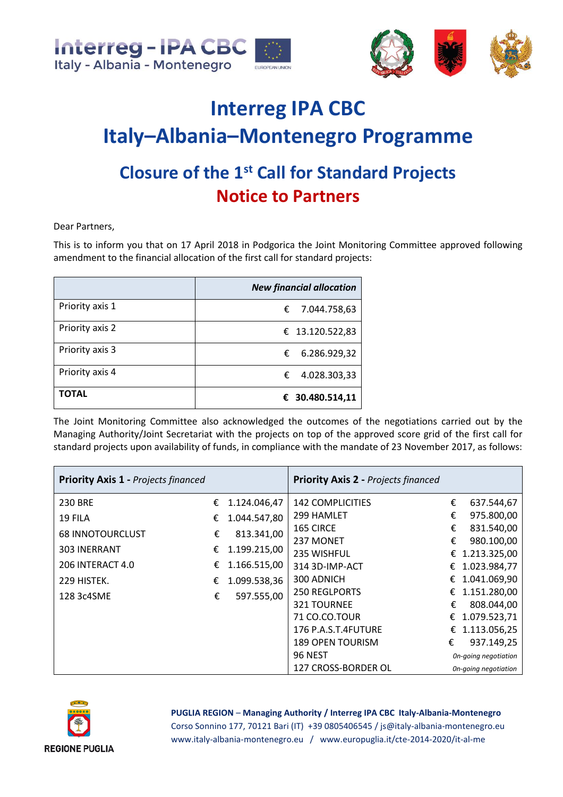



## **Interreg IPA CBC Italy–Albania–Montenegro Programme Closure of the 1st Call for Standard Projects Notice to Partners**

Dear Partners,

This is to inform you that on 17 April 2018 in Podgorica the Joint Monitoring Committee approved following amendment to the financial allocation of the first call for standard projects:

|                 | <b>New financial allocation</b> |
|-----------------|---------------------------------|
| Priority axis 1 | € 7.044.758,63                  |
| Priority axis 2 | € 13.120.522,83                 |
| Priority axis 3 | 6.286.929,32<br>€               |
| Priority axis 4 | 4.028.303,33<br>€               |
| TOTAL           | € 30.480.514,11                 |

The Joint Monitoring Committee also acknowledged the outcomes of the negotiations carried out by the Managing Authority/Joint Secretariat with the projects on top of the approved score grid of the first call for standard projects upon availability of funds, in compliance with the mandate of 23 November 2017, as follows:

| <b>Priority Axis 1 - Projects financed</b> |   |                     | <b>Priority Axis 2 - Projects financed</b> |                      |                |
|--------------------------------------------|---|---------------------|--------------------------------------------|----------------------|----------------|
| <b>230 BRE</b>                             | € | 1.124.046,47        | <b>142 COMPLICITIES</b>                    | €                    | 637.544,67     |
| 19 FILA                                    | € | 1.044.547,80        | 299 HAMLET                                 | €                    | 975.800,00     |
| <b>68 INNOTOURCLUST</b>                    | € | 813.341,00          | 165 CIRCE                                  | €                    | 831.540,00     |
|                                            |   |                     | 237 MONET                                  | €                    | 980.100,00     |
| <b>303 INERRANT</b>                        | € | 1.199.215,00        | 235 WISHFUL                                |                      | € 1.213.325,00 |
| 206 INTERACT 4.0                           | € | 1.166.515,00        | 314 3D-IMP-ACT                             | €                    | 1.023.984,77   |
| 229 HISTEK.                                | € | 1.099.538,36        | 300 ADNICH                                 | €                    | 1.041.069,90   |
| 128 3c4SME                                 | € | 597.555,00          | <b>250 REGLPORTS</b>                       | €                    | 1.151.280,00   |
|                                            |   |                     | 321 TOURNEE                                | €                    | 808.044,00     |
|                                            |   |                     | 71 CO.CO.TOUR                              | €                    | 1.079.523,71   |
|                                            |   |                     | 176 P.A.S.T.4FUTURE                        | €                    | 1.113.056,25   |
|                                            |   |                     | <b>189 OPEN TOURISM</b>                    | €                    | 937.149,25     |
|                                            |   | 96 NEST             |                                            | On-going negotiation |                |
|                                            |   | 127 CROSS-BORDER OL | On-going negotiation                       |                      |                |



**PUGLIA REGION** – **Managing Authority / Interreg IPA CBC Italy-Albania-Montenegro**

Corso Sonnino 177, 70121 Bari (IT) +39 0805406545 / js@italy-albania-montenegro.eu www.italy-albania-montenegro.eu / www.europuglia.it/cte-2014-2020/it-al-me